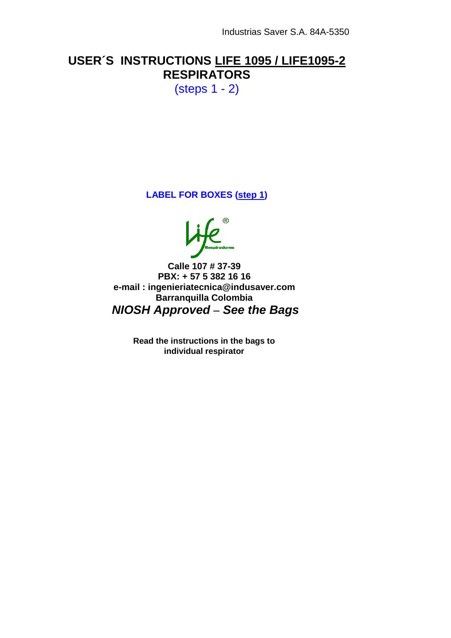## **USER´S INSTRUCTIONS LIFE 1095 / LIFE1095-2 RESPIRATORS**

(steps 1 - 2)

**LABEL FOR BOXES (step 1)**

**Calle 107 # 37-39 PBX: + 57 5 382 16 16 e-mail : ingenieriatecnica@indusaver.com Barranquilla Colombia** *NIOSH Approved – See the Bags*

> **Read the instructions in the bags to individual respirator**